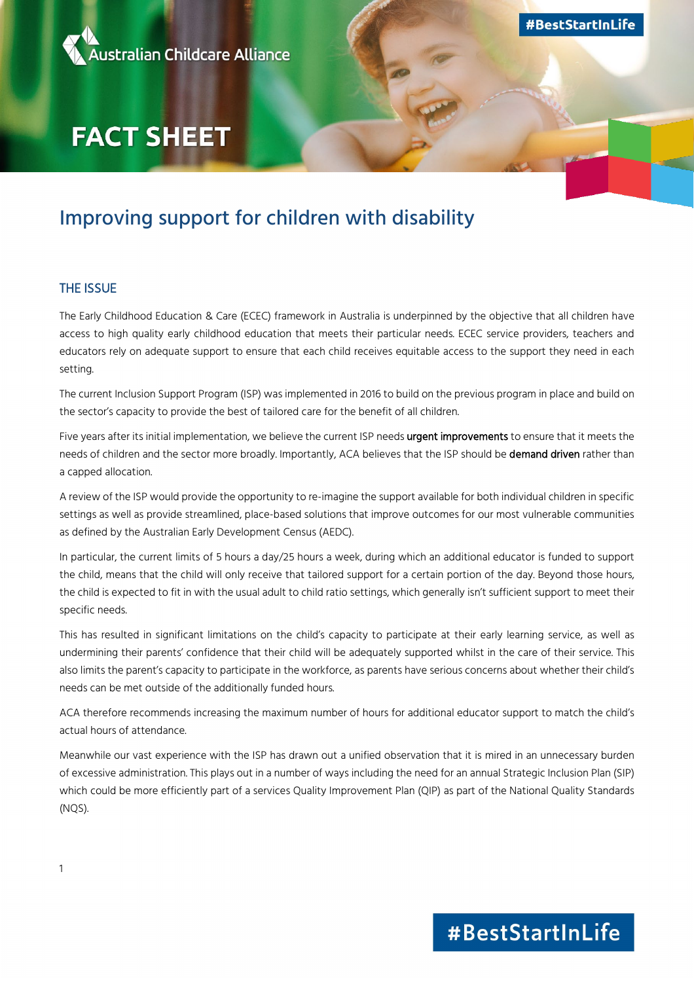

# **FACT SHEET**

# Improving support for children with disability

### THE ISSUE

The Early Childhood Education & Care (ECEC) framework in Australia is underpinned by the objective that all children have access to high quality early childhood education that meets their particular needs. ECEC service providers, teachers and educators rely on adequate support to ensure that each child receives equitable access to the support they need in each setting.

The current Inclusion Support Program (ISP) was implemented in 2016 to build on the previous program in place and build on the sector's capacity to provide the best of tailored care for the benefit of all children.

Five years after its initial implementation, we believe the current ISP needs urgent improvements to ensure that it meets the needs of children and the sector more broadly. Importantly, ACA believes that the ISP should be demand driven rather than a capped allocation.

A review of the ISP would provide the opportunity to re-imagine the support available for both individual children in specific settings as well as provide streamlined, place-based solutions that improve outcomes for our most vulnerable communities as defined by the Australian Early Development Census (AEDC).

In particular, the current limits of 5 hours a day/25 hours a week, during which an additional educator is funded to support the child, means that the child will only receive that tailored support for a certain portion of the day. Beyond those hours, the child is expected to fit in with the usual adult to child ratio settings, which generally isn't sufficient support to meet their specific needs.

This has resulted in significant limitations on the child's capacity to participate at their early learning service, as well as undermining their parents' confidence that their child will be adequately supported whilst in the care of their service. This also limits the parent's capacity to participate in the workforce, as parents have serious concerns about whether their child's needs can be met outside of the additionally funded hours.

ACA therefore recommends increasing the maximum number of hours for additional educator support to match the child's actual hours of attendance.

Meanwhile our vast experience with the ISP has drawn out a unified observation that it is mired in an unnecessary burden of excessive administration. This plays out in a number of ways including the need for an annual Strategic Inclusion Plan (SIP) which could be more efficiently part of a services Quality Improvement Plan (QIP) as part of the National Quality Standards (NQS).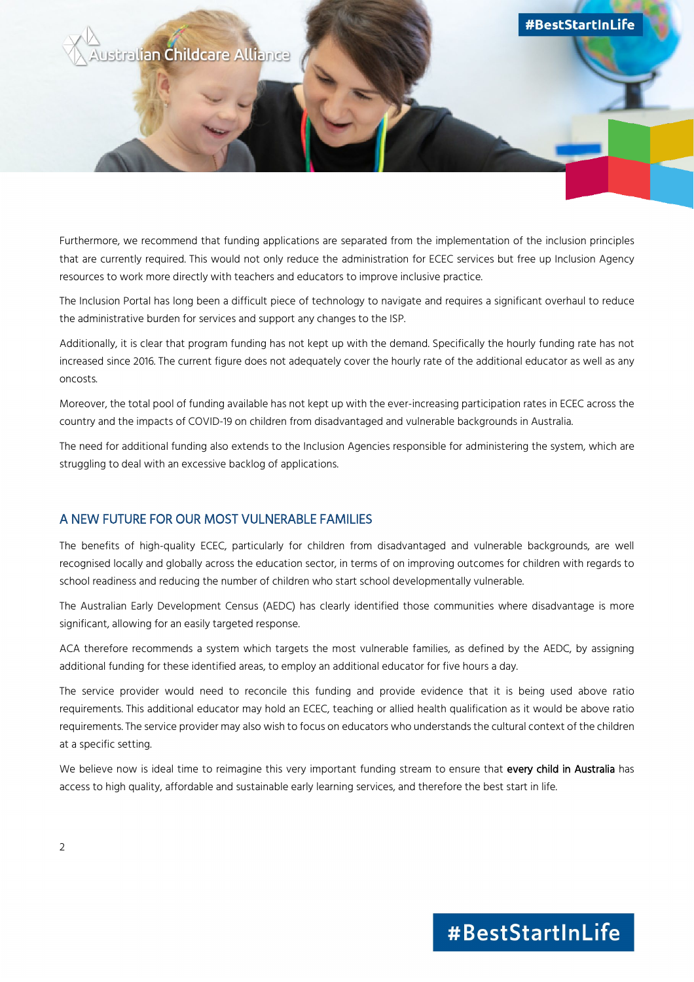

Furthermore, we recommend that funding applications are separated from the implementation of the inclusion principles that are currently required. This would not only reduce the administration for ECEC services but free up Inclusion Agency resources to work more directly with teachers and educators to improve inclusive practice.

The Inclusion Portal has long been a difficult piece of technology to navigate and requires a significant overhaul to reduce the administrative burden for services and support any changes to the ISP.

Additionally, it is clear that program funding has not kept up with the demand. Specifically the hourly funding rate has not increased since 2016. The current figure does not adequately cover the hourly rate of the additional educator as well as any oncosts.

Moreover, the total pool of funding available has not kept up with the ever-increasing participation rates in ECEC across the country and the impacts of COVID-19 on children from disadvantaged and vulnerable backgrounds in Australia.

The need for additional funding also extends to the Inclusion Agencies responsible for administering the system, which are struggling to deal with an excessive backlog of applications.

### A NEW FUTURE FOR OUR MOST VULNERABLE FAMILIES

The benefits of high-quality ECEC, particularly for children from disadvantaged and vulnerable backgrounds, are well recognised locally and globally across the education sector, in terms of on improving outcomes for children with regards to school readiness and reducing the number of children who start school developmentally vulnerable.

The Australian Early Development Census (AEDC) has clearly identified those communities where disadvantage is more significant, allowing for an easily targeted response.

ACA therefore recommends a system which targets the most vulnerable families, as defined by the AEDC, by assigning additional funding for these identified areas, to employ an additional educator for five hours a day.

The service provider would need to reconcile this funding and provide evidence that it is being used above ratio requirements. This additional educator may hold an ECEC, teaching or allied health qualification as it would be above ratio requirements. The service provider may also wish to focus on educators who understands the cultural context of the children at a specific setting.

We believe now is ideal time to reimagine this very important funding stream to ensure that every child in Australia has access to high quality, affordable and sustainable early learning services, and therefore the best start in life.